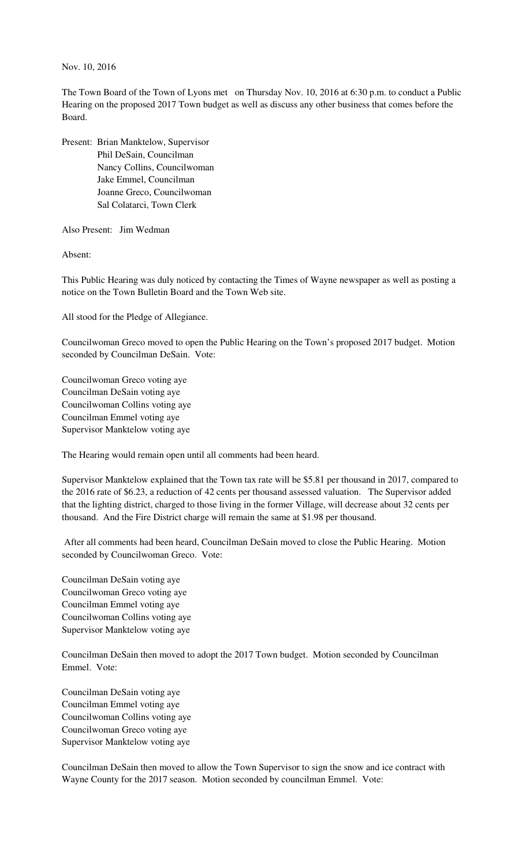Nov. 10, 2016

The Town Board of the Town of Lyons met on Thursday Nov. 10, 2016 at 6:30 p.m. to conduct a Public Hearing on the proposed 2017 Town budget as well as discuss any other business that comes before the Board.

Present: Brian Manktelow, Supervisor Phil DeSain, Councilman Nancy Collins, Councilwoman Jake Emmel, Councilman Joanne Greco, Councilwoman Sal Colatarci, Town Clerk

Also Present: Jim Wedman

Absent:

This Public Hearing was duly noticed by contacting the Times of Wayne newspaper as well as posting a notice on the Town Bulletin Board and the Town Web site.

All stood for the Pledge of Allegiance.

Councilwoman Greco moved to open the Public Hearing on the Town's proposed 2017 budget. Motion seconded by Councilman DeSain. Vote:

Councilwoman Greco voting aye Councilman DeSain voting aye Councilwoman Collins voting aye Councilman Emmel voting aye Supervisor Manktelow voting aye

The Hearing would remain open until all comments had been heard.

Supervisor Manktelow explained that the Town tax rate will be \$5.81 per thousand in 2017, compared to the 2016 rate of \$6.23, a reduction of 42 cents per thousand assessed valuation. The Supervisor added that the lighting district, charged to those living in the former Village, will decrease about 32 cents per thousand. And the Fire District charge will remain the same at \$1.98 per thousand.

 After all comments had been heard, Councilman DeSain moved to close the Public Hearing. Motion seconded by Councilwoman Greco. Vote:

Councilman DeSain voting aye Councilwoman Greco voting aye Councilman Emmel voting aye Councilwoman Collins voting aye Supervisor Manktelow voting aye

Councilman DeSain then moved to adopt the 2017 Town budget. Motion seconded by Councilman Emmel. Vote:

Councilman DeSain voting aye Councilman Emmel voting aye Councilwoman Collins voting aye Councilwoman Greco voting aye Supervisor Manktelow voting aye

Councilman DeSain then moved to allow the Town Supervisor to sign the snow and ice contract with Wayne County for the 2017 season. Motion seconded by councilman Emmel. Vote: